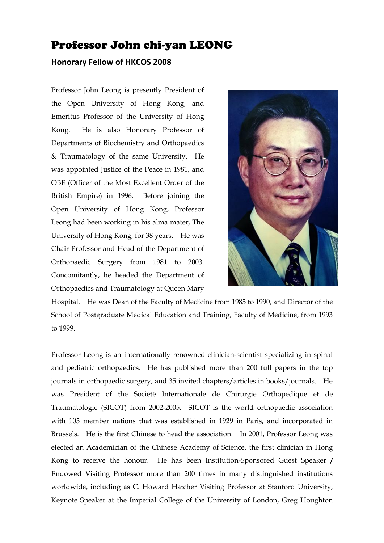## Professor John chi-yan LEONG

## **Honorary Fellow of HKCOS 2008**

Professor John Leong is presently President of the Open University of Hong Kong, and Emeritus Professor of the University of Hong Kong. He is also Honorary Professor of Departments of Biochemistry and Orthopaedics & Traumatology of the same University. He was appointed Justice of the Peace in 1981, and OBE (Officer of the Most Excellent Order of the British Empire) in 1996. Before joining the Open University of Hong Kong, Professor Leong had been working in his alma mater, The University of Hong Kong, for 38 years. He was Chair Professor and Head of the Department of Orthopaedic Surgery from 1981 to 2003. Concomitantly, he headed the Department of Orthopaedics and Traumatology at Queen Mary



Hospital. He was Dean of the Faculty of Medicine from 1985 to 1990, and Director of the School of Postgraduate Medical Education and Training, Faculty of Medicine, from 1993 to 1999.

Professor Leong is an internationally renowned clinician-scientist specializing in spinal and pediatric orthopaedics. He has published more than 200 full papers in the top journals in orthopaedic surgery, and 35 invited chapters/articles in books/journals. He was President of the Société Internationale de Chirurgie Orthopedique et de Traumatologie (SICOT) from 2002-2005. SICOT is the world orthopaedic association with 105 member nations that was established in 1929 in Paris, and incorporated in Brussels. He is the first Chinese to head the association. In 2001, Professor Leong was elected an Academician of the Chinese Academy of Science, the first clinician in Hong Kong to receive the honour. He has been Institution-Sponsored Guest Speaker **/**  Endowed Visiting Professor more than 200 times in many distinguished institutions worldwide, including as C. Howard Hatcher Visiting Professor at Stanford University, Keynote Speaker at the Imperial College of the University of London, Greg Houghton